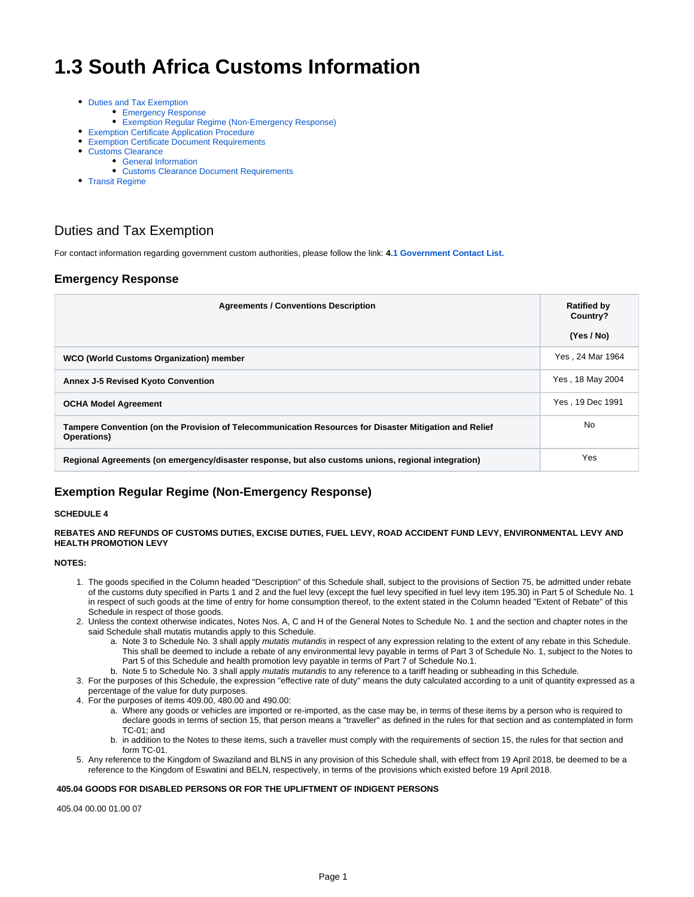# **1.3 South Africa Customs Information**

- [Duties and Tax Exemption](#page-0-0)
	- **[Emergency Response](#page-0-1)**
	- [Exemption Regular Regime \(Non-Emergency Response\)](#page-0-2)
- [Exemption Certificate Application Procedure](#page-1-0)
- [Exemption Certificate Document Requirements](#page-1-1)
- [Customs Clearance](#page-2-0)
	- [General Information](#page-2-1)
		- [Customs Clearance Document Requirements](#page-2-2)
- [Transit Regime](#page-3-0)

## <span id="page-0-0"></span>Duties and Tax Exemption

For contact information regarding government custom authorities, please follow the link: **4[.1 Government Contact List.](https://dlca.logcluster.org/display/DLCA/4.1+South+Africa+Government+Contact+List)**

### <span id="page-0-1"></span>**Emergency Response**

| <b>Agreements / Conventions Description</b>                                                                           | <b>Ratified by</b><br>Country?<br>(Yes / No) |
|-----------------------------------------------------------------------------------------------------------------------|----------------------------------------------|
| WCO (World Customs Organization) member                                                                               | Yes, 24 Mar 1964                             |
| <b>Annex J-5 Revised Kyoto Convention</b>                                                                             | Yes, 18 May 2004                             |
| <b>OCHA Model Agreement</b>                                                                                           | Yes, 19 Dec 1991                             |
| Tampere Convention (on the Provision of Telecommunication Resources for Disaster Mitigation and Relief<br>Operations) | No.                                          |
| Regional Agreements (on emergency/disaster response, but also customs unions, regional integration)                   | Yes                                          |

### <span id="page-0-2"></span>**Exemption Regular Regime (Non-Emergency Response)**

#### **SCHEDULE 4**

**REBATES AND REFUNDS OF CUSTOMS DUTIES, EXCISE DUTIES, FUEL LEVY, ROAD ACCIDENT FUND LEVY, ENVIRONMENTAL LEVY AND HEALTH PROMOTION LEVY**

#### **NOTES:**

- 1. The goods specified in the Column headed "Description" of this Schedule shall, subject to the provisions of Section 75, be admitted under rebate of the customs duty specified in Parts 1 and 2 and the fuel levy (except the fuel levy specified in fuel levy item 195.30) in Part 5 of Schedule No. 1 in respect of such goods at the time of entry for home consumption thereof, to the extent stated in the Column headed "Extent of Rebate" of this Schedule in respect of those goods.
- 2. Unless the context otherwise indicates, Notes Nos. A, C and H of the General Notes to Schedule No. 1 and the section and chapter notes in the said Schedule shall mutatis mutandis apply to this Schedule.
	- a. Note 3 to Schedule No. 3 shall apply mutatis mutandis in respect of any expression relating to the extent of any rebate in this Schedule. This shall be deemed to include a rebate of any environmental levy payable in terms of Part 3 of Schedule No. 1, subject to the Notes to Part 5 of this Schedule and health promotion levy payable in terms of Part 7 of Schedule No.1.
	- b. Note 5 to Schedule No. 3 shall apply *mutatis mutandis* to any reference to a tariff heading or subheading in this Schedule.
- 3. For the purposes of this Schedule, the expression "effective rate of duty" means the duty calculated according to a unit of quantity expressed as a percentage of the value for duty purposes.
- 4. For the purposes of items 409.00, 480.00 and 490.00:
	- a. Where any goods or vehicles are imported or re-imported, as the case may be, in terms of these items by a person who is required to declare goods in terms of section 15, that person means a "traveller" as defined in the rules for that section and as contemplated in form TC-01; and
	- b. in addition to the Notes to these items, such a traveller must comply with the requirements of section 15, the rules for that section and form TC-01.
- 5. Any reference to the Kingdom of Swaziland and BLNS in any provision of this Schedule shall, with effect from 19 April 2018, be deemed to be a reference to the Kingdom of Eswatini and BELN, respectively, in terms of the provisions which existed before 19 April 2018.

#### **405.04 GOODS FOR DISABLED PERSONS OR FOR THE UPLIFTMENT OF INDIGENT PERSONS**

405.04 00.00 01.00 07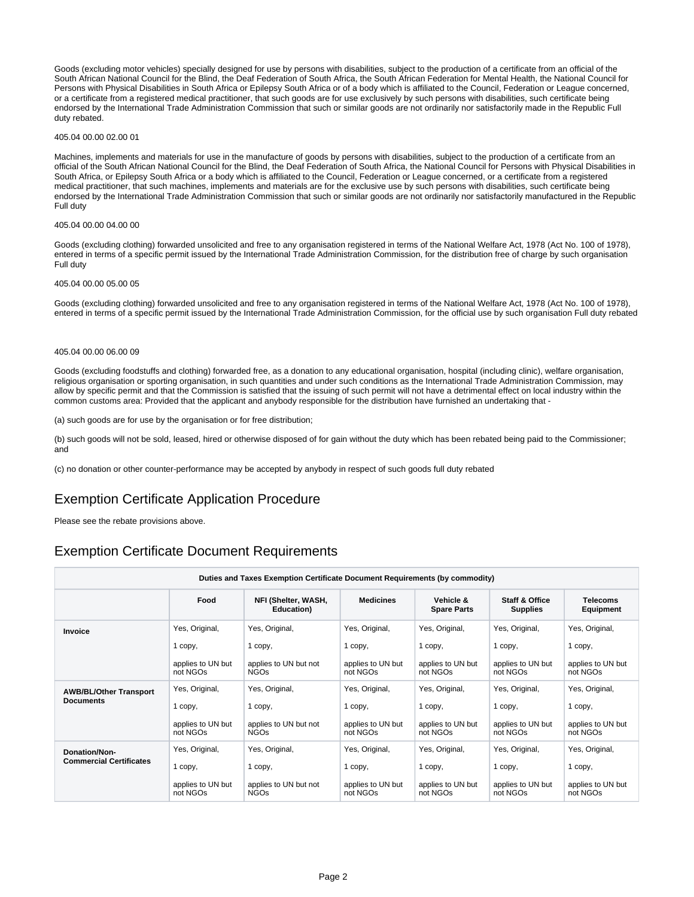Goods (excluding motor vehicles) specially designed for use by persons with disabilities, subject to the production of a certificate from an official of the South African National Council for the Blind, the Deaf Federation of South Africa, the South African Federation for Mental Health, the National Council for Persons with Physical Disabilities in South Africa or Epilepsy South Africa or of a body which is affiliated to the Council, Federation or League concerned, or a certificate from a registered medical practitioner, that such goods are for use exclusively by such persons with disabilities, such certificate being endorsed by the International Trade Administration Commission that such or similar goods are not ordinarily nor satisfactorily made in the Republic Full duty rebated.

#### 405.04 00.00 02.00 01

Machines, implements and materials for use in the manufacture of goods by persons with disabilities, subject to the production of a certificate from an official of the South African National Council for the Blind, the Deaf Federation of South Africa, the National Council for Persons with Physical Disabilities in South Africa, or Epilepsy South Africa or a body which is affiliated to the Council, Federation or League concerned, or a certificate from a registered medical practitioner, that such machines, implements and materials are for the exclusive use by such persons with disabilities, such certificate being endorsed by the International Trade Administration Commission that such or similar goods are not ordinarily nor satisfactorily manufactured in the Republic Full duty

#### 405.04 00.00 04.00 00

Goods (excluding clothing) forwarded unsolicited and free to any organisation registered in terms of the National Welfare Act, 1978 (Act No. 100 of 1978), entered in terms of a specific permit issued by the International Trade Administration Commission, for the distribution free of charge by such organisation Full duty

#### 405.04 00.00 05.00 05

Goods (excluding clothing) forwarded unsolicited and free to any organisation registered in terms of the National Welfare Act, 1978 (Act No. 100 of 1978), entered in terms of a specific permit issued by the International Trade Administration Commission, for the official use by such organisation Full duty rebated

#### 405.04 00.00 06.00 09

Goods (excluding foodstuffs and clothing) forwarded free, as a donation to any educational organisation, hospital (including clinic), welfare organisation, religious organisation or sporting organisation, in such quantities and under such conditions as the International Trade Administration Commission, may allow by specific permit and that the Commission is satisfied that the issuing of such permit will not have a detrimental effect on local industry within the common customs area: Provided that the applicant and anybody responsible for the distribution have furnished an undertaking that -

(a) such goods are for use by the organisation or for free distribution;

(b) such goods will not be sold, leased, hired or otherwise disposed of for gain without the duty which has been rebated being paid to the Commissioner; and

(c) no donation or other counter-performance may be accepted by anybody in respect of such goods full duty rebated

### <span id="page-1-0"></span>Exemption Certificate Application Procedure

Please see the rebate provisions above.

### <span id="page-1-1"></span>Exemption Certificate Document Requirements

| Duties and Taxes Exemption Certificate Document Requirements (by commodity) |                               |                                      |                               |                                 |                                              |                               |
|-----------------------------------------------------------------------------|-------------------------------|--------------------------------------|-------------------------------|---------------------------------|----------------------------------------------|-------------------------------|
|                                                                             | Food                          | NFI (Shelter, WASH,<br>Education)    | <b>Medicines</b>              | Vehicle &<br><b>Spare Parts</b> | <b>Staff &amp; Office</b><br><b>Supplies</b> | <b>Telecoms</b><br>Equipment  |
| Invoice                                                                     | Yes, Original,                | Yes, Original,                       | Yes, Original,                | Yes, Original,                  | Yes, Original,                               | Yes, Original,                |
|                                                                             | 1 copy,                       | 1 copy,                              | 1 copy,                       | 1 copy,                         | 1 copy,                                      | 1 copy,                       |
|                                                                             | applies to UN but<br>not NGOs | applies to UN but not<br><b>NGOs</b> | applies to UN but<br>not NGOs | applies to UN but<br>not NGOs   | applies to UN but<br>not NGOs                | applies to UN but<br>not NGOs |
| <b>AWB/BL/Other Transport</b><br><b>Documents</b>                           | Yes, Original,                | Yes, Original,                       | Yes, Original,                | Yes, Original,                  | Yes, Original,                               | Yes, Original,                |
|                                                                             | 1 copy,                       | 1 copy,                              | 1 copy,                       | 1 copy,                         | 1 copy,                                      | 1 copy,                       |
|                                                                             | applies to UN but<br>not NGOs | applies to UN but not<br><b>NGOs</b> | applies to UN but<br>not NGOs | applies to UN but<br>not NGOs   | applies to UN but<br>not NGOs                | applies to UN but<br>not NGOs |
| Donation/Non-<br><b>Commercial Certificates</b>                             | Yes, Original,                | Yes, Original,                       | Yes, Original,                | Yes, Original,                  | Yes, Original,                               | Yes, Original,                |
|                                                                             | 1 copy,                       | 1 copy,                              | 1 copy,                       | 1 copy,                         | 1 copy,                                      | 1 copy,                       |
|                                                                             | applies to UN but<br>not NGOs | applies to UN but not<br><b>NGOs</b> | applies to UN but<br>not NGOs | applies to UN but<br>not NGOs   | applies to UN but<br>not NGOs                | applies to UN but<br>not NGOs |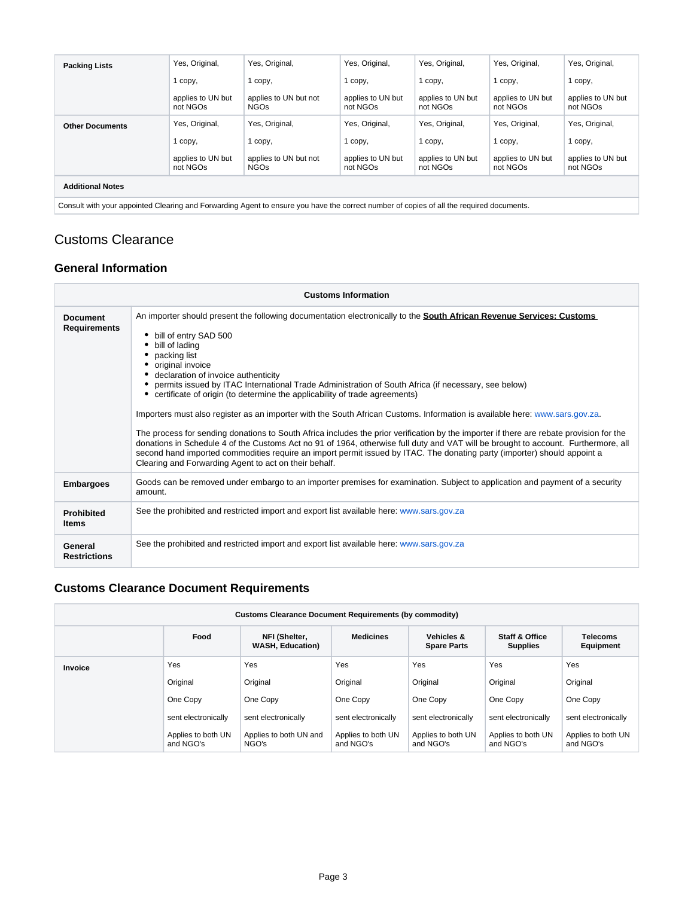| <b>Packing Lists</b>                                                                                                                     | Yes, Original,                | Yes, Original,                       | Yes, Original,                | Yes, Original,                | Yes, Original,                | Yes, Original,                |
|------------------------------------------------------------------------------------------------------------------------------------------|-------------------------------|--------------------------------------|-------------------------------|-------------------------------|-------------------------------|-------------------------------|
|                                                                                                                                          | 1 copy,                       | 1 copy,                              | 1 copy,                       | 1 copy,                       | 1 copy,                       | 1 copy,                       |
|                                                                                                                                          | applies to UN but<br>not NGOs | applies to UN but not<br><b>NGOs</b> | applies to UN but<br>not NGOs | applies to UN but<br>not NGOs | applies to UN but<br>not NGOs | applies to UN but<br>not NGOs |
| <b>Other Documents</b>                                                                                                                   | Yes, Original,                | Yes, Original,                       | Yes, Original,                | Yes, Original,                | Yes, Original,                | Yes, Original,                |
|                                                                                                                                          | 1 copy,                       | 1 copy,                              | 1 copy,                       | 1 copy,                       | 1 copy,                       | 1 copy,                       |
|                                                                                                                                          | applies to UN but<br>not NGOs | applies to UN but not<br><b>NGOs</b> | applies to UN but<br>not NGOs | applies to UN but<br>not NGOs | applies to UN but<br>not NGOs | applies to UN but<br>not NGOs |
| <b>Additional Notes</b>                                                                                                                  |                               |                                      |                               |                               |                               |                               |
| Consult with your appointed Clearing and Forwarding Agent to ensure you have the correct number of copies of all the required documents. |                               |                                      |                               |                               |                               |                               |

# <span id="page-2-0"></span>Customs Clearance

### <span id="page-2-1"></span>**General Information**

| <b>Customs Information</b>        |                                                                                                                                                                                                                                                                                                                                                                                                                                                                                                                                                                                                                                                                                                                                                                                                                                                                                                                                                                                                                                             |  |  |  |  |  |  |
|-----------------------------------|---------------------------------------------------------------------------------------------------------------------------------------------------------------------------------------------------------------------------------------------------------------------------------------------------------------------------------------------------------------------------------------------------------------------------------------------------------------------------------------------------------------------------------------------------------------------------------------------------------------------------------------------------------------------------------------------------------------------------------------------------------------------------------------------------------------------------------------------------------------------------------------------------------------------------------------------------------------------------------------------------------------------------------------------|--|--|--|--|--|--|
| Document<br><b>Requirements</b>   | An importer should present the following documentation electronically to the <b>South African Revenue Services: Customs</b><br>bill of entry SAD 500<br>bill of lading<br>packing list<br>original invoice<br>declaration of invoice authenticity<br>permits issued by ITAC International Trade Administration of South Africa (if necessary, see below)<br>certificate of origin (to determine the applicability of trade agreements)<br>Importers must also register as an importer with the South African Customs. Information is available here: www.sars.gov.za.<br>The process for sending donations to South Africa includes the prior verification by the importer if there are rebate provision for the<br>donations in Schedule 4 of the Customs Act no 91 of 1964, otherwise full duty and VAT will be brought to account. Furthermore, all<br>second hand imported commodities require an import permit issued by ITAC. The donating party (importer) should appoint a<br>Clearing and Forwarding Agent to act on their behalf. |  |  |  |  |  |  |
| <b>Embargoes</b>                  | Goods can be removed under embargo to an importer premises for examination. Subject to application and payment of a security<br>amount.                                                                                                                                                                                                                                                                                                                                                                                                                                                                                                                                                                                                                                                                                                                                                                                                                                                                                                     |  |  |  |  |  |  |
| <b>Prohibited</b><br><b>Items</b> | See the prohibited and restricted import and export list available here: www.sars.gov.za                                                                                                                                                                                                                                                                                                                                                                                                                                                                                                                                                                                                                                                                                                                                                                                                                                                                                                                                                    |  |  |  |  |  |  |
| General<br><b>Restrictions</b>    | See the prohibited and restricted import and export list available here: www.sars.gov.za                                                                                                                                                                                                                                                                                                                                                                                                                                                                                                                                                                                                                                                                                                                                                                                                                                                                                                                                                    |  |  |  |  |  |  |

# <span id="page-2-2"></span>**Customs Clearance Document Requirements**

| Customs Clearance Document Requirements (by commodity) |                                 |                                          |                                 |                                             |                                              |                                 |  |
|--------------------------------------------------------|---------------------------------|------------------------------------------|---------------------------------|---------------------------------------------|----------------------------------------------|---------------------------------|--|
|                                                        | Food                            | NFI (Shelter,<br><b>WASH, Education)</b> | <b>Medicines</b>                | <b>Vehicles &amp;</b><br><b>Spare Parts</b> | <b>Staff &amp; Office</b><br><b>Supplies</b> | <b>Telecoms</b><br>Equipment    |  |
| Invoice                                                | Yes                             | Yes                                      | Yes                             | Yes                                         | Yes                                          | Yes                             |  |
|                                                        | Original                        | Original                                 | Original                        | Original                                    | Original                                     | Original                        |  |
|                                                        | One Copy                        | One Copy                                 | One Copy                        | One Copy                                    | One Copy                                     | One Copy                        |  |
|                                                        | sent electronically             | sent electronically                      | sent electronically             | sent electronically                         | sent electronically                          | sent electronically             |  |
|                                                        | Applies to both UN<br>and NGO's | Applies to both UN and<br>NGO's          | Applies to both UN<br>and NGO's | Applies to both UN<br>and NGO's             | Applies to both UN<br>and NGO's              | Applies to both UN<br>and NGO's |  |